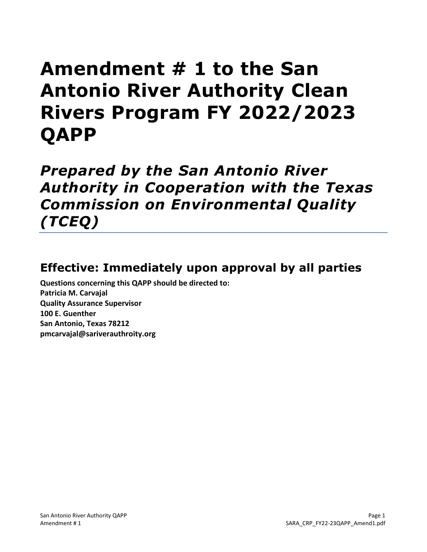# **Amendment # 1 to the San Antonio River Authority Clean Rivers Program FY 2022/2023 QAPP**

*Prepared by the San Antonio River Authority in Cooperation with the Texas Commission on Environmental Quality (TCEQ)*

# **Effective: Immediately upon approval by all parties**

**Questions concerning this QAPP should be directed to: Patricia M. Carvajal Quality Assurance Supervisor 100 E. Guenther San Antonio, Texas 78212 pmcarvajal@sariverauthroity.org**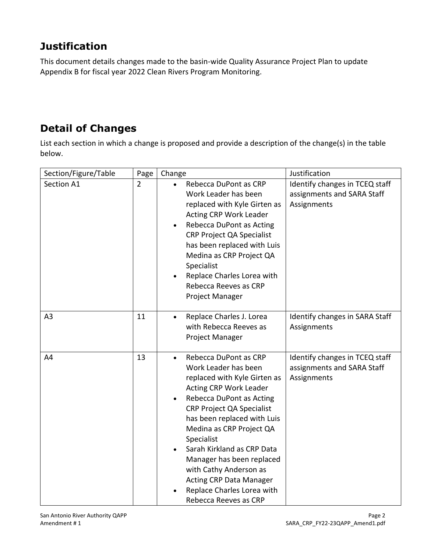# **Justification**

This document details changes made to the basin-wide Quality Assurance Project Plan to update Appendix B for fiscal year 2022 Clean Rivers Program Monitoring.

# **Detail of Changes**

List each section in which a change is proposed and provide a description of the change(s) in the table below.

| Section/Figure/Table | Page           | Change                                                                                                                                                                                                                                                                                                                                                                                                                                      | Justification                                                               |
|----------------------|----------------|---------------------------------------------------------------------------------------------------------------------------------------------------------------------------------------------------------------------------------------------------------------------------------------------------------------------------------------------------------------------------------------------------------------------------------------------|-----------------------------------------------------------------------------|
| Section A1           | $\overline{2}$ | Rebecca DuPont as CRP<br>$\bullet$<br>Work Leader has been<br>replaced with Kyle Girten as<br>Acting CRP Work Leader<br>Rebecca DuPont as Acting<br>$\bullet$<br><b>CRP Project QA Specialist</b><br>has been replaced with Luis<br>Medina as CRP Project QA<br>Specialist<br>Replace Charles Lorea with<br>Rebecca Reeves as CRP<br>Project Manager                                                                                        | Identify changes in TCEQ staff<br>assignments and SARA Staff<br>Assignments |
| A <sub>3</sub>       | 11             | Replace Charles J. Lorea<br>$\bullet$<br>with Rebecca Reeves as<br>Project Manager                                                                                                                                                                                                                                                                                                                                                          | Identify changes in SARA Staff<br>Assignments                               |
| A4                   | 13             | Rebecca DuPont as CRP<br>$\bullet$<br>Work Leader has been<br>replaced with Kyle Girten as<br>Acting CRP Work Leader<br>Rebecca DuPont as Acting<br><b>CRP Project QA Specialist</b><br>has been replaced with Luis<br>Medina as CRP Project QA<br>Specialist<br>Sarah Kirkland as CRP Data<br>Manager has been replaced<br>with Cathy Anderson as<br><b>Acting CRP Data Manager</b><br>Replace Charles Lorea with<br>Rebecca Reeves as CRP | Identify changes in TCEQ staff<br>assignments and SARA Staff<br>Assignments |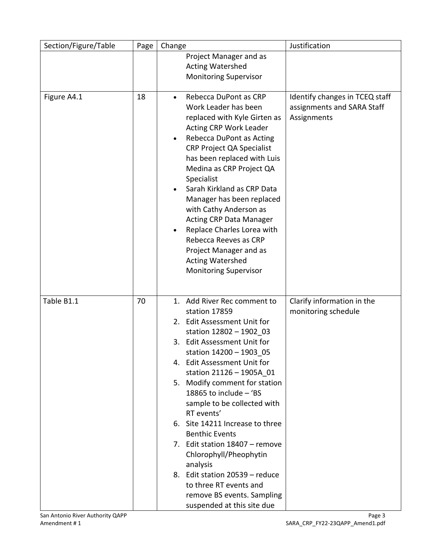| Section/Figure/Table | Page | Change                                                                                                                                                                                                                                                                                                                                                                                                                                                                                                                                                                                          | Justification                                                               |
|----------------------|------|-------------------------------------------------------------------------------------------------------------------------------------------------------------------------------------------------------------------------------------------------------------------------------------------------------------------------------------------------------------------------------------------------------------------------------------------------------------------------------------------------------------------------------------------------------------------------------------------------|-----------------------------------------------------------------------------|
|                      |      | Project Manager and as<br><b>Acting Watershed</b><br><b>Monitoring Supervisor</b>                                                                                                                                                                                                                                                                                                                                                                                                                                                                                                               |                                                                             |
| Figure A4.1          | 18   | Rebecca DuPont as CRP<br>$\bullet$<br>Work Leader has been<br>replaced with Kyle Girten as<br><b>Acting CRP Work Leader</b><br>Rebecca DuPont as Acting<br><b>CRP Project QA Specialist</b><br>has been replaced with Luis<br>Medina as CRP Project QA<br>Specialist<br>Sarah Kirkland as CRP Data<br>Manager has been replaced<br>with Cathy Anderson as<br><b>Acting CRP Data Manager</b><br>Replace Charles Lorea with<br>Rebecca Reeves as CRP<br>Project Manager and as<br><b>Acting Watershed</b><br><b>Monitoring Supervisor</b>                                                         | Identify changes in TCEQ staff<br>assignments and SARA Staff<br>Assignments |
| Table B1.1           | 70   | 1. Add River Rec comment to<br>station 17859<br>2. Edit Assessment Unit for<br>station 12802 - 1902 03<br>3. Edit Assessment Unit for<br>station 14200 - 1903_05<br>4. Edit Assessment Unit for<br>station 21126 - 1905A 01<br>5. Modify comment for station<br>18865 to include - 'BS<br>sample to be collected with<br>RT events'<br>6. Site 14211 Increase to three<br><b>Benthic Events</b><br>7. Edit station 18407 - remove<br>Chlorophyll/Pheophytin<br>analysis<br>8. Edit station 20539 - reduce<br>to three RT events and<br>remove BS events. Sampling<br>suspended at this site due | Clarify information in the<br>monitoring schedule                           |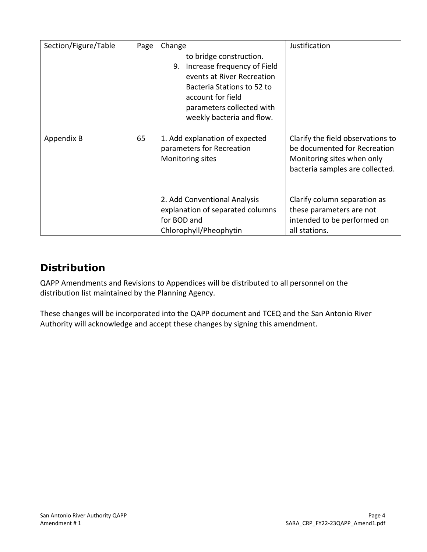| Section/Figure/Table | Page | Change                                                                                                                                                                                                  | Justification                                                                                                                      |
|----------------------|------|---------------------------------------------------------------------------------------------------------------------------------------------------------------------------------------------------------|------------------------------------------------------------------------------------------------------------------------------------|
|                      |      | to bridge construction.<br>Increase frequency of Field<br>9.<br>events at River Recreation<br>Bacteria Stations to 52 to<br>account for field<br>parameters collected with<br>weekly bacteria and flow. |                                                                                                                                    |
| Appendix B           | 65   | 1. Add explanation of expected<br>parameters for Recreation<br>Monitoring sites                                                                                                                         | Clarify the field observations to<br>be documented for Recreation<br>Monitoring sites when only<br>bacteria samples are collected. |
|                      |      | 2. Add Conventional Analysis<br>explanation of separated columns<br>for BOD and<br>Chlorophyll/Pheophytin                                                                                               | Clarify column separation as<br>these parameters are not<br>intended to be performed on<br>all stations.                           |

# **Distribution**

QAPP Amendments and Revisions to Appendices will be distributed to all personnel on the distribution list maintained by the Planning Agency.

These changes will be incorporated into the QAPP document and TCEQ and the San Antonio River Authority will acknowledge and accept these changes by signing this amendment.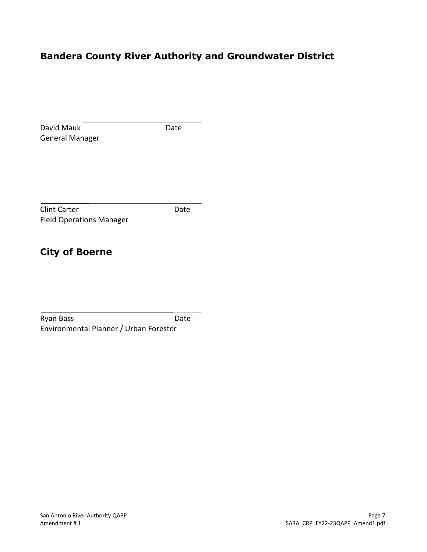# **Bandera County River Authority and Groundwater District**

| David Mauk                      | Date |
|---------------------------------|------|
| <b>General Manager</b>          |      |
|                                 |      |
|                                 |      |
|                                 |      |
| <b>Clint Carter</b>             | Date |
| <b>Field Operations Manager</b> |      |
|                                 |      |
|                                 |      |
| <b>City of Boerne</b>           |      |
|                                 |      |
|                                 |      |

Ryan Bass Date Environmental Planner / Urban Forester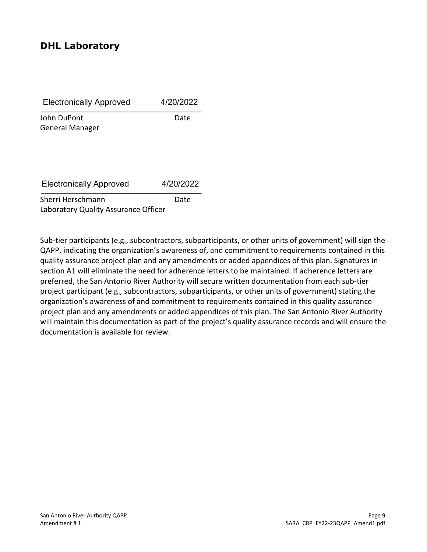### **DHL Laboratory**

| <b>Electronically Approved</b> | 4/20/2022 |
|--------------------------------|-----------|
| John DuPont                    | Date      |

General Manager

Electronically Approved 4/20/2022

Sherri Herschmann Date Laboratory Quality Assurance Officer

Sub-tier participants (e.g., subcontractors, subparticipants, or other units of government) will sign the QAPP, indicating the organization's awareness of, and commitment to requirements contained in this quality assurance project plan and any amendments or added appendices of this plan. Signatures in section A1 will eliminate the need for adherence letters to be maintained. If adherence letters are preferred, the San Antonio River Authority will secure written documentation from each sub-tier project participant (e.g., subcontractors, subparticipants, or other units of government) stating the organization's awareness of and commitment to requirements contained in this quality assurance project plan and any amendments or added appendices of this plan. The San Antonio River Authority will maintain this documentation as part of the project's quality assurance records and will ensure the documentation is available for review.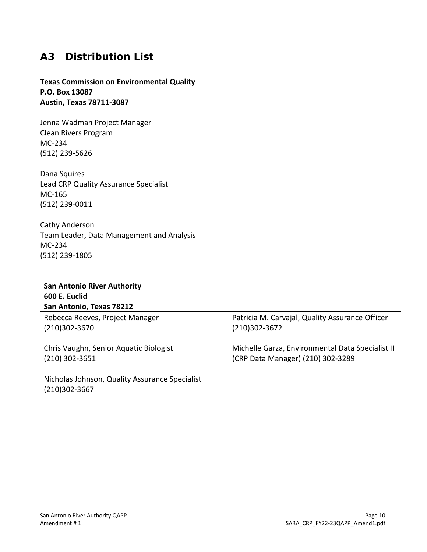# **A3 Distribution List**

#### **Texas Commission on Environmental Quality P.O. Box 13087 Austin, Texas 78711-3087**

Jenna Wadman Project Manager Clean Rivers Program MC-234 (512) 239-5626

Dana Squires Lead CRP Quality Assurance Specialist MC-165 (512) 239-0011

Cathy Anderson Team Leader, Data Management and Analysis MC-234 (512) 239-1805

#### **San Antonio River Authority 600 E. Euclid San Antonio, Texas 78212**

Rebecca Reeves, Project Manager (210)302-3670

Chris Vaughn, Senior Aquatic Biologist (210) 302-3651

Nicholas Johnson, Quality Assurance Specialist (210)302-3667

Patricia M. Carvajal, Quality Assurance Officer (210)302-3672

Michelle Garza, Environmental Data Specialist II (CRP Data Manager) (210) 302-3289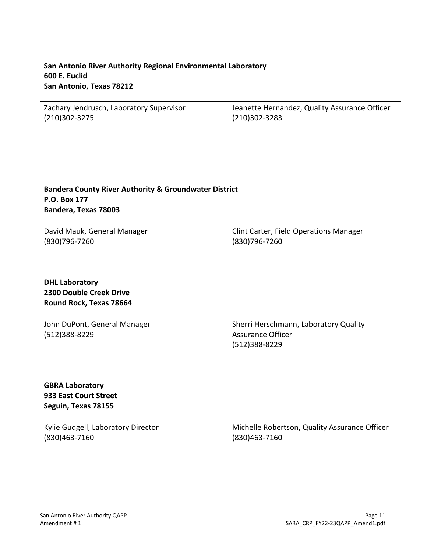Zachary Jendrusch, Laboratory Supervisor (210)302-3275

Jeanette Hernandez, Quality Assurance Officer (210)302-3283

#### **Bandera County River Authority & Groundwater District P.O. Box 177 Bandera, Texas 78003**

David Mauk, General Manager (830)796-7260

Clint Carter, Field Operations Manager (830)796-7260

**DHL Laboratory 2300 Double Creek Drive Round Rock, Texas 78664**

John DuPont, General Manager (512)388-8229

Sherri Herschmann, Laboratory Quality Assurance Officer (512)388-8229

**GBRA Laboratory 933 East Court Street Seguin, Texas 78155**

Kylie Gudgell, Laboratory Director (830)463-7160

Michelle Robertson, Quality Assurance Officer (830)463-7160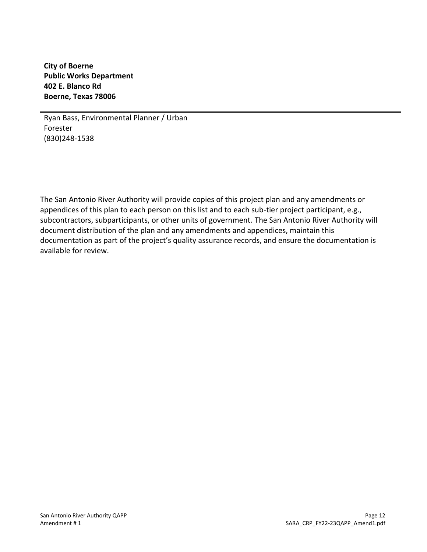**City of Boerne Public Works Department 402 E. Blanco Rd Boerne, Texas 78006**

Ryan Bass, Environmental Planner / Urban Forester (830)248-1538

The San Antonio River Authority will provide copies of this project plan and any amendments or appendices of this plan to each person on this list and to each sub-tier project participant, e.g., subcontractors, subparticipants, or other units of government. The San Antonio River Authority will document distribution of the plan and any amendments and appendices, maintain this documentation as part of the project's quality assurance records, and ensure the documentation is available for review.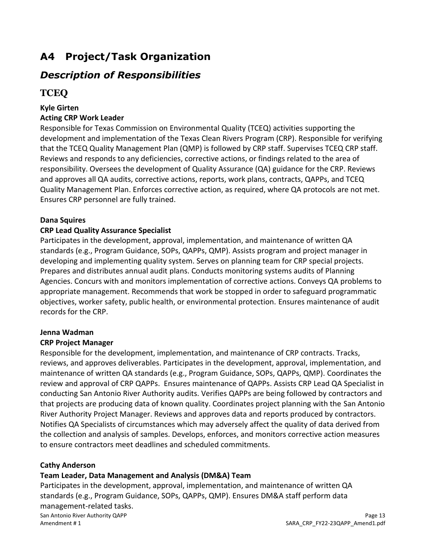# **A4 Project/Task Organization**

### *Description of Responsibilities*

### **TCEQ**

#### **Kyle Girten**

#### **Acting CRP Work Leader**

Responsible for Texas Commission on Environmental Quality (TCEQ) activities supporting the development and implementation of the Texas Clean Rivers Program (CRP). Responsible for verifying that the TCEQ Quality Management Plan (QMP) is followed by CRP staff. Supervises TCEQ CRP staff. Reviews and responds to any deficiencies, corrective actions, or findings related to the area of responsibility. Oversees the development of Quality Assurance (QA) guidance for the CRP. Reviews and approves all QA audits, corrective actions, reports, work plans, contracts, QAPPs, and TCEQ Quality Management Plan. Enforces corrective action, as required, where QA protocols are not met. Ensures CRP personnel are fully trained.

#### **Dana Squires**

#### **CRP Lead Quality Assurance Specialist**

Participates in the development, approval, implementation, and maintenance of written QA standards (e.g., Program Guidance, SOPs, QAPPs, QMP). Assists program and project manager in developing and implementing quality system. Serves on planning team for CRP special projects. Prepares and distributes annual audit plans. Conducts monitoring systems audits of Planning Agencies. Concurs with and monitors implementation of corrective actions. Conveys QA problems to appropriate management. Recommends that work be stopped in order to safeguard programmatic objectives, worker safety, public health, or environmental protection. Ensures maintenance of audit records for the CRP.

#### **Jenna Wadman**

#### **CRP Project Manager**

Responsible for the development, implementation, and maintenance of CRP contracts. Tracks, reviews, and approves deliverables. Participates in the development, approval, implementation, and maintenance of written QA standards (e.g., Program Guidance, SOPs, QAPPs, QMP). Coordinates the review and approval of CRP QAPPs. Ensures maintenance of QAPPs. Assists CRP Lead QA Specialist in conducting San Antonio River Authority audits. Verifies QAPPs are being followed by contractors and that projects are producing data of known quality. Coordinates project planning with the San Antonio River Authority Project Manager. Reviews and approves data and reports produced by contractors. Notifies QA Specialists of circumstances which may adversely affect the quality of data derived from the collection and analysis of samples. Develops, enforces, and monitors corrective action measures to ensure contractors meet deadlines and scheduled commitments.

#### **Cathy Anderson**

#### **Team Leader, Data Management and Analysis (DM&A) Team**

San Antonio River Authority QAPP **Page 13** Antonio River Authority QAPP **Page 13** Amendment # 1 SARA\_CRP\_FY22-23QAPP\_Amend1.pdf Participates in the development, approval, implementation, and maintenance of written QA standards (e.g., Program Guidance, SOPs, QAPPs, QMP). Ensures DM&A staff perform data management-related tasks.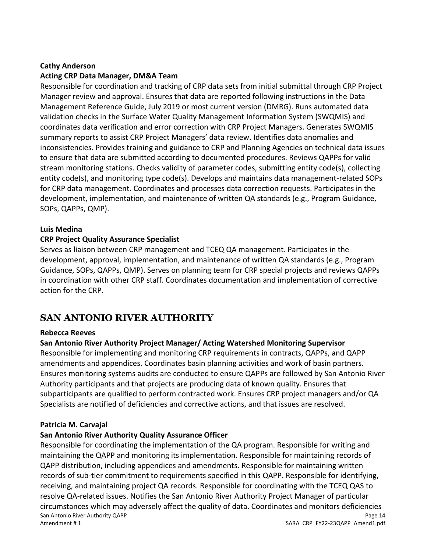#### **Cathy Anderson**

#### **Acting CRP Data Manager, DM&A Team**

Responsible for coordination and tracking of CRP data sets from initial submittal through CRP Project Manager review and approval. Ensures that data are reported following instructions in the Data Management Reference Guide, July 2019 or most current version (DMRG). Runs automated data validation checks in the Surface Water Quality Management Information System (SWQMIS) and coordinates data verification and error correction with CRP Project Managers. Generates SWQMIS summary reports to assist CRP Project Managers' data review. Identifies data anomalies and inconsistencies. Provides training and guidance to CRP and Planning Agencies on technical data issues to ensure that data are submitted according to documented procedures. Reviews QAPPs for valid stream monitoring stations. Checks validity of parameter codes, submitting entity code(s), collecting entity code(s), and monitoring type code(s). Develops and maintains data management-related SOPs for CRP data management. Coordinates and processes data correction requests. Participates in the development, implementation, and maintenance of written QA standards (e.g., Program Guidance, SOPs, QAPPs, QMP).

#### **Luis Medina**

#### **CRP Project Quality Assurance Specialist**

Serves as liaison between CRP management and TCEQ QA management. Participates in the development, approval, implementation, and maintenance of written QA standards (e.g., Program Guidance, SOPs, QAPPs, QMP). Serves on planning team for CRP special projects and reviews QAPPs in coordination with other CRP staff. Coordinates documentation and implementation of corrective action for the CRP.

### **SAN ANTONIO RIVER AUTHORITY**

#### **Rebecca Reeves**

#### **San Antonio River Authority Project Manager/ Acting Watershed Monitoring Supervisor**

Responsible for implementing and monitoring CRP requirements in contracts, QAPPs, and QAPP amendments and appendices. Coordinates basin planning activities and work of basin partners. Ensures monitoring systems audits are conducted to ensure QAPPs are followed by San Antonio River Authority participants and that projects are producing data of known quality. Ensures that subparticipants are qualified to perform contracted work. Ensures CRP project managers and/or QA Specialists are notified of deficiencies and corrective actions, and that issues are resolved.

#### **Patricia M. Carvajal**

#### **San Antonio River Authority Quality Assurance Officer**

San Antonio River Authority QAPP **Page 14** and the state of the state of the state of the state of the state of the state of the state of the state of the state of the state of the state of the state of the state of the st Amendment # 1 SARA\_CRP\_FY22-23QAPP\_Amend1.pdf Responsible for coordinating the implementation of the QA program. Responsible for writing and maintaining the QAPP and monitoring its implementation. Responsible for maintaining records of QAPP distribution, including appendices and amendments. Responsible for maintaining written records of sub-tier commitment to requirements specified in this QAPP. Responsible for identifying, receiving, and maintaining project QA records. Responsible for coordinating with the TCEQ QAS to resolve QA-related issues. Notifies the San Antonio River Authority Project Manager of particular circumstances which may adversely affect the quality of data. Coordinates and monitors deficiencies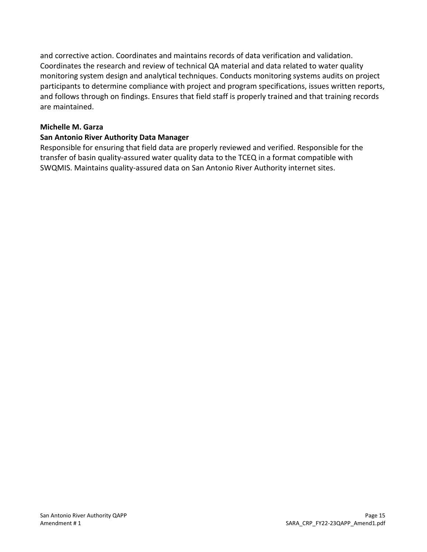and corrective action. Coordinates and maintains records of data verification and validation. Coordinates the research and review of technical QA material and data related to water quality monitoring system design and analytical techniques. Conducts monitoring systems audits on project participants to determine compliance with project and program specifications, issues written reports, and follows through on findings. Ensures that field staff is properly trained and that training records are maintained.

#### **Michelle M. Garza**

#### **San Antonio River Authority Data Manager**

Responsible for ensuring that field data are properly reviewed and verified. Responsible for the transfer of basin quality-assured water quality data to the TCEQ in a format compatible with SWQMIS. Maintains quality-assured data on San Antonio River Authority internet sites.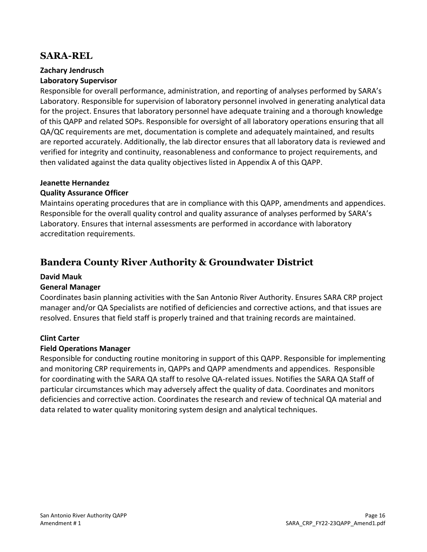### **SARA-REL**

#### **Zachary Jendrusch**

#### **Laboratory Supervisor**

Responsible for overall performance, administration, and reporting of analyses performed by SARA's Laboratory. Responsible for supervision of laboratory personnel involved in generating analytical data for the project. Ensures that laboratory personnel have adequate training and a thorough knowledge of this QAPP and related SOPs. Responsible for oversight of all laboratory operations ensuring that all QA/QC requirements are met, documentation is complete and adequately maintained, and results are reported accurately. Additionally, the lab director ensures that all laboratory data is reviewed and verified for integrity and continuity, reasonableness and conformance to project requirements, and then validated against the data quality objectives listed in Appendix A of this QAPP.

#### **Jeanette Hernandez**

#### **Quality Assurance Officer**

Maintains operating procedures that are in compliance with this QAPP, amendments and appendices. Responsible for the overall quality control and quality assurance of analyses performed by SARA's Laboratory. Ensures that internal assessments are performed in accordance with laboratory accreditation requirements.

### **Bandera County River Authority & Groundwater District**

#### **David Mauk**

#### **General Manager**

Coordinates basin planning activities with the San Antonio River Authority. Ensures SARA CRP project manager and/or QA Specialists are notified of deficiencies and corrective actions, and that issues are resolved. Ensures that field staff is properly trained and that training records are maintained.

#### **Clint Carter**

#### **Field Operations Manager**

Responsible for conducting routine monitoring in support of this QAPP. Responsible for implementing and monitoring CRP requirements in, QAPPs and QAPP amendments and appendices. Responsible for coordinating with the SARA QA staff to resolve QA-related issues. Notifies the SARA QA Staff of particular circumstances which may adversely affect the quality of data. Coordinates and monitors deficiencies and corrective action. Coordinates the research and review of technical QA material and data related to water quality monitoring system design and analytical techniques.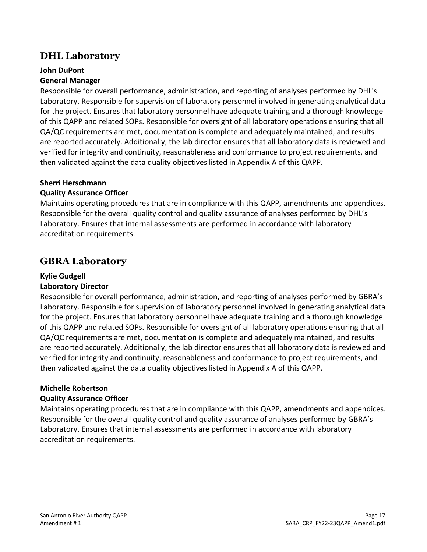### **DHL Laboratory**

#### **John DuPont**

#### **General Manager**

Responsible for overall performance, administration, and reporting of analyses performed by DHL's Laboratory. Responsible for supervision of laboratory personnel involved in generating analytical data for the project. Ensures that laboratory personnel have adequate training and a thorough knowledge of this QAPP and related SOPs. Responsible for oversight of all laboratory operations ensuring that all QA/QC requirements are met, documentation is complete and adequately maintained, and results are reported accurately. Additionally, the lab director ensures that all laboratory data is reviewed and verified for integrity and continuity, reasonableness and conformance to project requirements, and then validated against the data quality objectives listed in Appendix A of this QAPP.

#### **Sherri Herschmann**

#### **Quality Assurance Officer**

Maintains operating procedures that are in compliance with this QAPP, amendments and appendices. Responsible for the overall quality control and quality assurance of analyses performed by DHL's Laboratory. Ensures that internal assessments are performed in accordance with laboratory accreditation requirements.

### **GBRA Laboratory**

#### **Kylie Gudgell**

#### **Laboratory Director**

Responsible for overall performance, administration, and reporting of analyses performed by GBRA's Laboratory. Responsible for supervision of laboratory personnel involved in generating analytical data for the project. Ensures that laboratory personnel have adequate training and a thorough knowledge of this QAPP and related SOPs. Responsible for oversight of all laboratory operations ensuring that all QA/QC requirements are met, documentation is complete and adequately maintained, and results are reported accurately. Additionally, the lab director ensures that all laboratory data is reviewed and verified for integrity and continuity, reasonableness and conformance to project requirements, and then validated against the data quality objectives listed in Appendix A of this QAPP.

#### **Michelle Robertson**

#### **Quality Assurance Officer**

Maintains operating procedures that are in compliance with this QAPP, amendments and appendices. Responsible for the overall quality control and quality assurance of analyses performed by GBRA's Laboratory. Ensures that internal assessments are performed in accordance with laboratory accreditation requirements.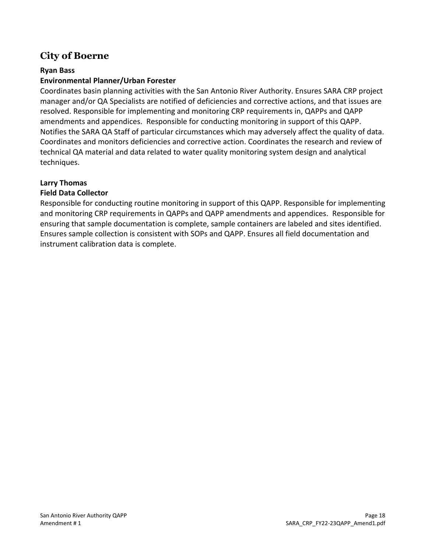### **City of Boerne**

#### **Ryan Bass**

#### **Environmental Planner/Urban Forester**

Coordinates basin planning activities with the San Antonio River Authority. Ensures SARA CRP project manager and/or QA Specialists are notified of deficiencies and corrective actions, and that issues are resolved. Responsible for implementing and monitoring CRP requirements in, QAPPs and QAPP amendments and appendices. Responsible for conducting monitoring in support of this QAPP. Notifies the SARA QA Staff of particular circumstances which may adversely affect the quality of data. Coordinates and monitors deficiencies and corrective action. Coordinates the research and review of technical QA material and data related to water quality monitoring system design and analytical techniques.

#### **Larry Thomas**

#### **Field Data Collector**

Responsible for conducting routine monitoring in support of this QAPP. Responsible for implementing and monitoring CRP requirements in QAPPs and QAPP amendments and appendices. Responsible for ensuring that sample documentation is complete, sample containers are labeled and sites identified. Ensures sample collection is consistent with SOPs and QAPP. Ensures all field documentation and instrument calibration data is complete.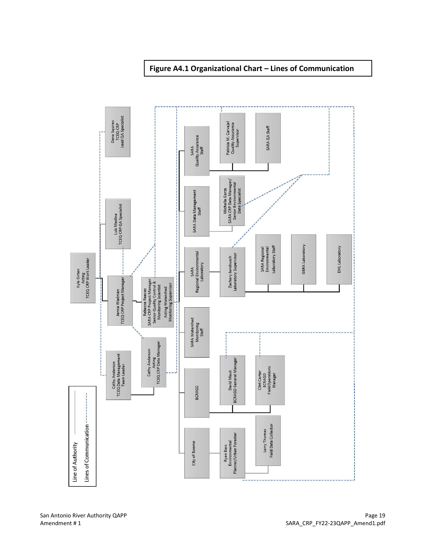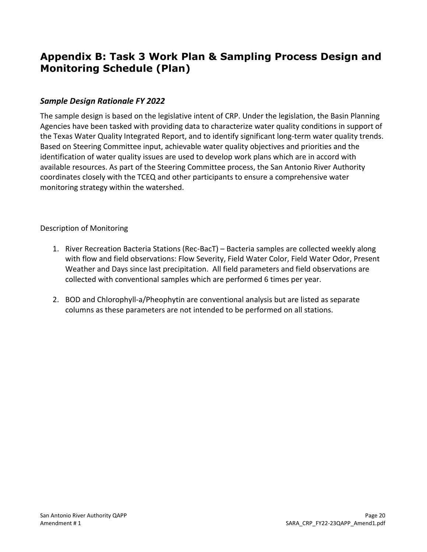## **Appendix B: Task 3 Work Plan & Sampling Process Design and Monitoring Schedule (Plan)**

#### *Sample Design Rationale FY 2022*

The sample design is based on the legislative intent of CRP. Under the legislation, the Basin Planning Agencies have been tasked with providing data to characterize water quality conditions in support of the Texas Water Quality Integrated Report, and to identify significant long-term water quality trends. Based on Steering Committee input, achievable water quality objectives and priorities and the identification of water quality issues are used to develop work plans which are in accord with available resources. As part of the Steering Committee process, the San Antonio River Authority coordinates closely with the TCEQ and other participants to ensure a comprehensive water monitoring strategy within the watershed.

#### Description of Monitoring

- 1. River Recreation Bacteria Stations (Rec-BacT) Bacteria samples are collected weekly along with flow and field observations: Flow Severity, Field Water Color, Field Water Odor, Present Weather and Days since last precipitation. All field parameters and field observations are collected with conventional samples which are performed 6 times per year.
- 2. BOD and Chlorophyll-a/Pheophytin are conventional analysis but are listed as separate columns as these parameters are not intended to be performed on all stations.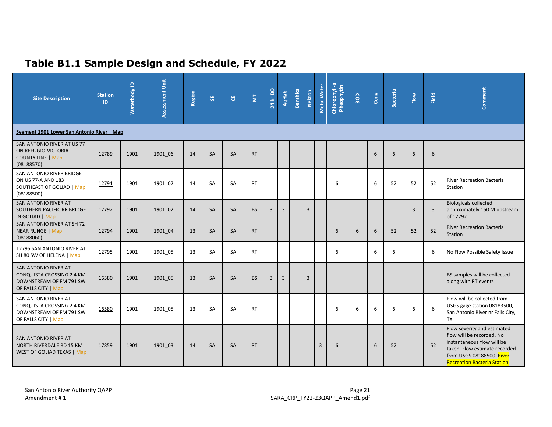# **Table B1.1 Sample Design and Schedule, FY 2022**

| <b>Site Description</b>                                                                             | <b>Station</b><br>ID | Waterbody ID | Assessment Unit | Region | 55        | <b>٣</b>  | $\overline{\Xi}$ | <b>24 hr DO</b> | <b>AqHab</b>   | <b>Benthics</b> | <b>Nekton</b>  | Metal Water | Chlorophyll-a<br>Pheophytin | BOD | Conv | <b>Bacteria</b> | Flow           | Field          | Comment                                                                                                                                                                                    |
|-----------------------------------------------------------------------------------------------------|----------------------|--------------|-----------------|--------|-----------|-----------|------------------|-----------------|----------------|-----------------|----------------|-------------|-----------------------------|-----|------|-----------------|----------------|----------------|--------------------------------------------------------------------------------------------------------------------------------------------------------------------------------------------|
| Segment 1901 Lower San Antonio River   Map                                                          |                      |              |                 |        |           |           |                  |                 |                |                 |                |             |                             |     |      |                 |                |                |                                                                                                                                                                                            |
| SAN ANTONIO RIVER AT US 77<br>ON REFUGIO-VICTORIA<br><b>COUNTY LINE   Map</b><br>(08188570)         | 12789                | 1901         | 1901 06         | 14     | <b>SA</b> | <b>SA</b> | <b>RT</b>        |                 |                |                 |                |             |                             |     | 6    | 6               | 6              | 6              |                                                                                                                                                                                            |
| SAN ANTONIO RIVER BRIDGE<br>ON US 77-A AND 183<br>SOUTHEAST OF GOLIAD   Map<br>(08188500)           | 12791                | 1901         | 1901 02         | 14     | <b>SA</b> | SA        | <b>RT</b>        |                 |                |                 |                |             | 6                           |     | 6    | 52              | 52             | 52             | <b>River Recreation Bacteria</b><br>Station                                                                                                                                                |
| SAN ANTONIO RIVER AT<br>SOUTHERN PACIFIC RR BRIDGE<br>IN GOLIAD   Map                               | 12792                | 1901         | 1901 02         | 14     | <b>SA</b> | <b>SA</b> | <b>BS</b>        | 3               | $\overline{3}$ |                 | $\overline{3}$ |             |                             |     |      |                 | $\overline{3}$ | $\overline{3}$ | <b>Biologicals collected</b><br>approximately 150 M upstream<br>of 12792                                                                                                                   |
| SAN ANTONIO RIVER AT SH 72<br><b>NEAR RUNGE   Map</b><br>(08188060)                                 | 12794                | 1901         | 1901 04         | 13     | <b>SA</b> | <b>SA</b> | <b>RT</b>        |                 |                |                 |                |             | 6                           | 6   | 6    | 52              | 52             | 52             | <b>River Recreation Bacteria</b><br>Station                                                                                                                                                |
| 12795 SAN ANTONIO RIVER AT<br>SH 80 SW OF HELENA   Map                                              | 12795                | 1901         | 1901 05         | 13     | SA        | <b>SA</b> | <b>RT</b>        |                 |                |                 |                |             | 6                           |     | 6    | 6               |                | 6              | No Flow Possible Safety Issue                                                                                                                                                              |
| SAN ANTONIO RIVER AT<br>CONQUISTA CROSSING 2.4 KM<br>DOWNSTREAM OF FM 791 SW<br>OF FALLS CITY   Map | 16580                | 1901         | 1901 05         | 13     | <b>SA</b> | <b>SA</b> | <b>BS</b>        | 3               | $\overline{3}$ |                 | 3              |             |                             |     |      |                 |                |                | BS samples will be collected<br>along with RT events                                                                                                                                       |
| SAN ANTONIO RIVER AT<br>CONQUISTA CROSSING 2.4 KM<br>DOWNSTREAM OF FM 791 SW<br>OF FALLS CITY   Map | 16580                | 1901         | 1901 05         | 13     | <b>SA</b> | <b>SA</b> | <b>RT</b>        |                 |                |                 |                |             | 6                           | 6   | 6    | 6               | 6              | 6              | Flow will be collected from<br>USGS gage station 08183500,<br>San Antonio River nr Falls City,<br><b>TX</b>                                                                                |
| SAN ANTONIO RIVER AT<br>NORTH RIVERDALE RD 15 KM<br><b>WEST OF GOLIAD TEXAS   Map</b>               | 17859                | 1901         | 1901 03         | 14     | <b>SA</b> | <b>SA</b> | <b>RT</b>        |                 |                |                 |                | 3           | 6                           |     | 6    | 52              |                | 52             | Flow severity and estimated<br>flow will be recorded. No<br>instantaneous flow will be<br>taken. Flow estimate recorded<br>from USGS 08188500. River<br><b>Recreation Bacteria Station</b> |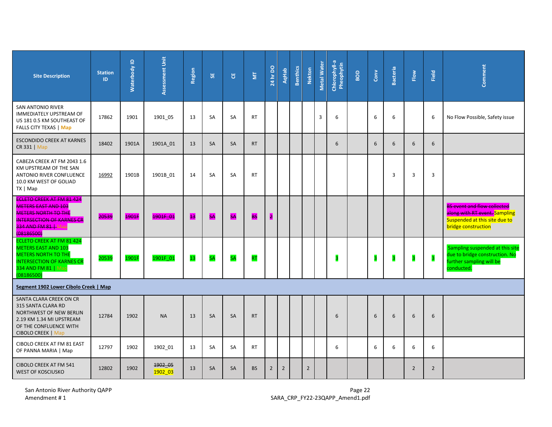| <b>Site Description</b>                                                                                                                                               | <b>Station</b><br>ID. | Waterbody ID | Assessment Unit    | Region | 5E        | 픵         | $\overline{\Xi}$ | $\frac{24 \text{ hr}}{20}$ | <b>AqHab</b>   | <b>Benthics</b> | <b>Nekton</b>  | Metal Water | Chlorophyll-a<br>Pheophytin | BOD | $_{\rm Conv}$ | <b>Bacteria</b> | Flow           | Field          | Comment                                                                                                                     |
|-----------------------------------------------------------------------------------------------------------------------------------------------------------------------|-----------------------|--------------|--------------------|--------|-----------|-----------|------------------|----------------------------|----------------|-----------------|----------------|-------------|-----------------------------|-----|---------------|-----------------|----------------|----------------|-----------------------------------------------------------------------------------------------------------------------------|
| SAN ANTONIO RIVER<br><b>IMMEDIATELY UPSTREAM OF</b><br>US 181 0.5 KM SOUTHEAST OF<br><b>FALLS CITY TEXAS   Map</b>                                                    | 17862                 | 1901         | 1901 05            | 13     | SA        | SA        | <b>RT</b>        |                            |                |                 |                | 3           | 6                           |     | 6             | 6               |                | 6              | No Flow Possible, Safety issue                                                                                              |
| <b>ESCONDIDO CREEK AT KARNES</b><br>CR 331   Map                                                                                                                      | 18402                 | 1901A        | 1901A_01           | 13     | <b>SA</b> | <b>SA</b> | <b>RT</b>        |                            |                |                 |                |             | 6                           |     | 6             | 6               | 6              | 6              |                                                                                                                             |
| CABEZA CREEK AT FM 2043 1.6<br>KM UPSTREAM OF THE SAN<br>ANTONIO RIVER CONFLUENCE<br>10.0 KM WEST OF GOLIAD<br>TX   Map                                               | 16992                 | 1901B        | 1901B 01           | 14     | SA        | <b>SA</b> | <b>RT</b>        |                            |                |                 |                |             |                             |     |               | 3               | 3              | 3              |                                                                                                                             |
| <b>ECLETO CREEK AT FM 81 424</b><br>METERS EAST AND 103<br><b>METERS NORTH TO THE</b><br><b>INTERSECTION OF KARNES CR</b><br><b>334 AND FM 81   Map</b><br>(08186500) | 20539                 | <b>1901F</b> | 1901F-01           | B      | <b>SA</b> | <b>SA</b> | <b>BS</b>        | П                          |                |                 |                |             |                             |     |               |                 |                |                | <b>BS event and flow collected</b><br>along with RT event. Sampling<br>Suspended at this site due to<br>bridge construction |
| <b>ECLETO CREEK AT FM 81 424</b><br><b>METERS EAST AND 103</b><br><b>METERS NORTH TO THE</b><br><b>INTERSECTION OF KARNES CR</b><br>334 AND FM 81   Map<br>(08186500) | 20539                 | 1901F        | 1901F_01           | 13     | <b>SA</b> | <b>SA</b> | <b>RT</b>        |                            |                |                 |                |             |                             |     | 3             | 3               | 3              | 3              | Sampling suspended at this site<br>due to bridge construction. No<br>further sampling will be<br>conducted.                 |
| Segment 1902 Lower Cibolo Creek   Map                                                                                                                                 |                       |              |                    |        |           |           |                  |                            |                |                 |                |             |                             |     |               |                 |                |                |                                                                                                                             |
| SANTA CLARA CREEK ON CR<br>315 SANTA CLARA RD<br>NORTHWEST OF NEW BERLIN<br>2.19 KM 1.34 MI UPSTREAM<br>OF THE CONFLUENCE WITH<br><b>CIBOLO CREEK   Map</b>           | 12784                 | 1902         | <b>NA</b>          | 13     | SA        | SA        | <b>RT</b>        |                            |                |                 |                |             | 6                           |     | 6             | 6               | 6              | 6              |                                                                                                                             |
| CIBOLO CREEK AT FM 81 EAST<br>OF PANNA MARIA   Map                                                                                                                    | 12797                 | 1902         | 1902 01            | 13     | <b>SA</b> | SA        | <b>RT</b>        |                            |                |                 |                |             | 6                           |     | 6             | 6               | 6              | 6              |                                                                                                                             |
| <b>CIBOLO CREEK AT FM 541</b><br><b>WEST OF KOSCIUSKO</b>                                                                                                             | 12802                 | 1902         | 1902_05<br>1902 03 | 13     | <b>SA</b> | SA        | <b>BS</b>        | $\overline{2}$             | $\overline{2}$ |                 | $\overline{2}$ |             |                             |     |               |                 | $\overline{2}$ | $\overline{2}$ |                                                                                                                             |

San Antonio River Authority QAPP<br>Amendment # 1 **Page 22**<br>Amendment # 1 **Page 22** Amendment # 1 **Page 22** Amendment # 1 **Page 22** Amendment # 1 **Page 22**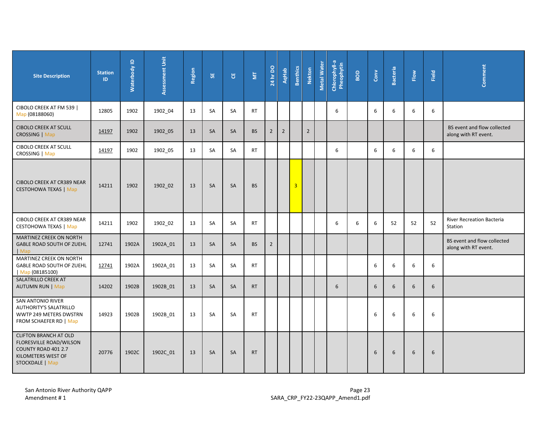| <b>Site Description</b>                                                                                                 | <b>Station</b><br>ID. | $\mathbf{\underline{o}}$<br>Waterbody | Assessment Unit | Region | 55        | უ         | $\overline{\Xi}$ | 24 hr DO       | <b>AqHab</b>   | <b>Benthics</b>         | <b>Nekton</b>  | Metal Water | Chlorophyll-a<br>Pheophytin | BOD | $_{\rm Conv}$ | <b>Bacteria</b> | Flow | Field | Comment                                             |
|-------------------------------------------------------------------------------------------------------------------------|-----------------------|---------------------------------------|-----------------|--------|-----------|-----------|------------------|----------------|----------------|-------------------------|----------------|-------------|-----------------------------|-----|---------------|-----------------|------|-------|-----------------------------------------------------|
| CIBOLO CREEK AT FM 539  <br>Map (08188060)                                                                              | 12805                 | 1902                                  | 1902 04         | 13     | SA        | SA        | <b>RT</b>        |                |                |                         |                |             | 6                           |     | 6             | 6               | 6    | 6     |                                                     |
| <b>CIBOLO CREEK AT SCULL</b><br>CROSSING   Map                                                                          | 14197                 | 1902                                  | 1902 05         | 13     | <b>SA</b> | SA        | <b>BS</b>        | $\overline{2}$ | $\overline{2}$ |                         | $\overline{2}$ |             |                             |     |               |                 |      |       | BS event and flow collected<br>along with RT event. |
| <b>CIBOLO CREEK AT SCULL</b><br>CROSSING   Map                                                                          | 14197                 | 1902                                  | 1902_05         | 13     | <b>SA</b> | SA        | <b>RT</b>        |                |                |                         |                |             | 6                           |     | 6             | 6               | 6    | 6     |                                                     |
| CIBOLO CREEK AT CR389 NEAR<br><b>CESTOHOWA TEXAS   Map</b>                                                              | 14211                 | 1902                                  | 1902 02         | 13     | SA        | SA        | <b>BS</b>        |                |                | $\overline{\mathbf{3}}$ |                |             |                             |     |               |                 |      |       |                                                     |
| CIBOLO CREEK AT CR389 NEAR<br><b>CESTOHOWA TEXAS   Map</b>                                                              | 14211                 | 1902                                  | 1902_02         | 13     | SA        | SA        | <b>RT</b>        |                |                |                         |                |             | 6                           | 6   | 6             | 52              | 52   | 52    | River Recreation Bacteria<br>Station                |
| MARTINEZ CREEK ON NORTH<br>GABLE ROAD SOUTH OF ZUEHL<br>  Map                                                           | 12741                 | 1902A                                 | 1902A 01        | 13     | SA        | SA        | <b>BS</b>        | $\overline{2}$ |                |                         |                |             |                             |     |               |                 |      |       | BS event and flow collected<br>along with RT event. |
| MARTINEZ CREEK ON NORTH<br>GABLE ROAD SOUTH OF ZUEHL<br>Map (08185100)                                                  | 12741                 | 1902A                                 | 1902A_01        | 13     | <b>SA</b> | <b>SA</b> | <b>RT</b>        |                |                |                         |                |             |                             |     | 6             | 6               | 6    | 6     |                                                     |
| SALATRILLO CREEK AT<br><b>AUTUMN RUN   Map</b>                                                                          | 14202                 | 1902B                                 | 1902B 01        | 13     | SA        | SA        | <b>RT</b>        |                |                |                         |                |             | 6                           |     | 6             | 6               | 6    | 6     |                                                     |
| SAN ANTONIO RIVER<br><b>AUTHORITY'S SALATRILLO</b><br>WWTP 249 METERS DWSTRN<br>FROM SCHAEFER RD   Map                  | 14923                 | 1902B                                 | 1902B_01        | 13     | SA        | SA        | <b>RT</b>        |                |                |                         |                |             |                             |     | 6             | 6               | 6    | 6     |                                                     |
| <b>CLIFTON BRANCH AT OLD</b><br>FLORESVILLE ROAD/WILSON<br>COUNTY ROAD 401 2.7<br>KILOMETERS WEST OF<br>STOCKDALE   Map | 20776                 | 1902C                                 | 1902C_01        | 13     | SA        | SA        | <b>RT</b>        |                |                |                         |                |             |                             |     | 6             | 6               | 6    | 6     |                                                     |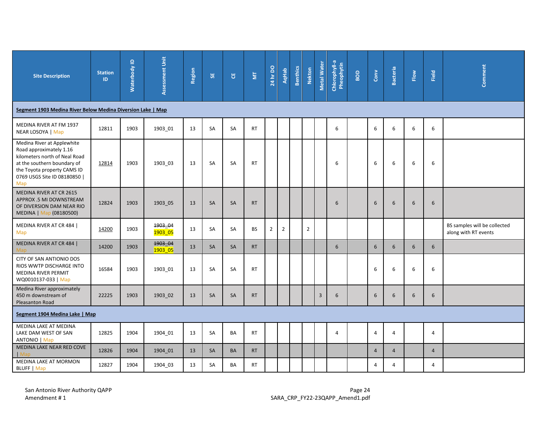| <b>Site Description</b>                                                                                                                                                                     | <b>Station</b><br>ID | $\mathbf{\underline{o}}$<br>Waterbody | Assessment Unit    | Region | <b>SE</b> | ី         | $\overline{\Xi}$ | $\frac{1}{24}$ hr DO | <b>AqHab</b>   | <b>Benthics</b> | <b>Nekton</b>  | Metal Water  | Chlorophyll-a<br>Pheophytin | BOD | $_{\rm Conv}$  | <b>Bacteria</b> | Flow | Field           | Comment                                              |
|---------------------------------------------------------------------------------------------------------------------------------------------------------------------------------------------|----------------------|---------------------------------------|--------------------|--------|-----------|-----------|------------------|----------------------|----------------|-----------------|----------------|--------------|-----------------------------|-----|----------------|-----------------|------|-----------------|------------------------------------------------------|
| Segment 1903 Medina River Below Medina Diversion Lake   Map                                                                                                                                 |                      |                                       |                    |        |           |           |                  |                      |                |                 |                |              |                             |     |                |                 |      |                 |                                                      |
| MEDINA RIVER AT FM 1937<br>NEAR LOSOYA   Map                                                                                                                                                | 12811                | 1903                                  | 1903_01            | 13     | SA        | SA        | <b>RT</b>        |                      |                |                 |                |              | 6                           |     | 6              | 6               | 6    | 6               |                                                      |
| Medina River at Applewhite<br>Road approximately 1.16<br>kilometers north of Neal Road<br>at the southern boundary of<br>the Toyota property CAMS ID<br>0769 USGS Site ID 08180850  <br>Map | 12814                | 1903                                  | 1903_03            | 13     | <b>SA</b> | SA        | <b>RT</b>        |                      |                |                 |                |              | 6                           |     | 6              | 6               | 6    | 6               |                                                      |
| MEDINA RIVER AT CR 2615<br>APPROX .5 MI DOWNSTREAM<br>OF DIVERSION DAM NEAR RIO<br>MEDINA   Map (08180500)                                                                                  | 12824                | 1903                                  | 1903_05            | 13     | SA        | SA        | <b>RT</b>        |                      |                |                 |                |              | 6                           |     | 6              | 6               | 6    | $6\phantom{1}6$ |                                                      |
| MEDINA RIVER AT CR 484  <br>Map                                                                                                                                                             | 14200                | 1903                                  | 1903_04<br>1903 05 | 13     | SA        | SA        | <b>BS</b>        | $\overline{2}$       | $\overline{2}$ |                 | $\overline{2}$ |              |                             |     |                |                 |      |                 | BS samples will be collected<br>along with RT events |
| MEDINA RIVER AT CR 484  <br><b>Map</b>                                                                                                                                                      | 14200                | 1903                                  | 1903_04<br>1903 05 | 13     | SA        | SA        | <b>RT</b>        |                      |                |                 |                |              | 6                           |     | 6              | 6               | 6    | 6               |                                                      |
| CITY OF SAN ANTIONIO DOS<br>RIOS WWTP DISCHARGE INTO<br>MEDINA RIVER PERMIT<br>WQ0010137-033   Map                                                                                          | 16584                | 1903                                  | 1903_01            | 13     | SA        | SA        | <b>RT</b>        |                      |                |                 |                |              |                             |     | 6              | 6               | 6    | 6               |                                                      |
| Medina River approximately<br>450 m downstream of<br>Pleasanton Road                                                                                                                        | 22225                | 1903                                  | 1903_02            | 13     | SA        | SA        | <b>RT</b>        |                      |                |                 |                | $\mathbf{3}$ | 6                           |     | 6              | 6               | 6    | $\sqrt{6}$      |                                                      |
| Segment 1904 Medina Lake   Map                                                                                                                                                              |                      |                                       |                    |        |           |           |                  |                      |                |                 |                |              |                             |     |                |                 |      |                 |                                                      |
| MEDINA LAKE AT MEDINA<br>LAKE DAM WEST OF SAN<br>ANTONIO   Map                                                                                                                              | 12825                | 1904                                  | 1904 01            | 13     | SA        | <b>BA</b> | <b>RT</b>        |                      |                |                 |                |              | 4                           |     | $\overline{4}$ | $\overline{4}$  |      | $\overline{4}$  |                                                      |
| MEDINA LAKE NEAR RED COVE<br>  Map                                                                                                                                                          | 12826                | 1904                                  | 1904 01            | 13     | SA        | BA        | <b>RT</b>        |                      |                |                 |                |              |                             |     | $\overline{4}$ | $\overline{4}$  |      | $\overline{4}$  |                                                      |
| MEDINA LAKE AT MORMON<br><b>BLUFF</b>   Map                                                                                                                                                 | 12827                | 1904                                  | 1904_03            | 13     | SA        | BA        | <b>RT</b>        |                      |                |                 |                |              |                             |     | $\overline{4}$ | 4               |      | $\overline{4}$  |                                                      |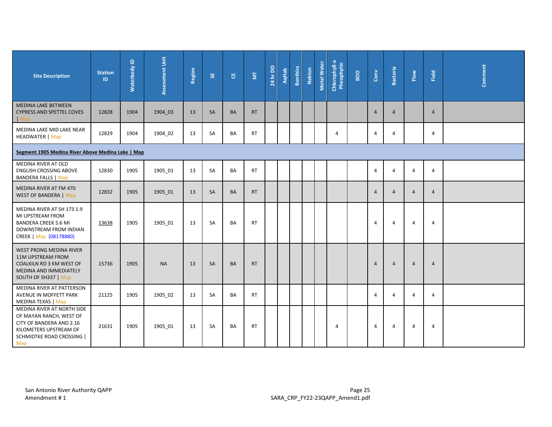| <b>Site Description</b>                                                                                                                                | <b>Station</b><br>ID | $\mathbf{\underline{o}}$<br>Waterbody | Assessment Unit | Region | <b>SE</b> | უ         | $\overline{\Xi}$ | 24 hr DO | <b>AqHab</b> | <b>Benthics</b> | <b>Nekton</b> | Metal Water | Chlorophyll-a<br>Pheophytin | BOD | $_{\rm Conv}$  | <b>Bacteria</b> | Flow           | Field          | Comment |
|--------------------------------------------------------------------------------------------------------------------------------------------------------|----------------------|---------------------------------------|-----------------|--------|-----------|-----------|------------------|----------|--------------|-----------------|---------------|-------------|-----------------------------|-----|----------------|-----------------|----------------|----------------|---------|
| <b>MEDINA LAKE BETWEEN</b><br><b>CYPRESS AND SPETTEL COVES</b><br>$ $ Map                                                                              | 12828                | 1904                                  | 1904 03         | 13     | <b>SA</b> | <b>BA</b> | <b>RT</b>        |          |              |                 |               |             |                             |     | $\overline{4}$ | $\overline{4}$  |                | $\overline{4}$ |         |
| MEDINA LAKE MID LAKE NEAR<br><b>HEADWATER   Map</b>                                                                                                    | 12829                | 1904                                  | 1904 02         | 13     | SA        | BA        | <b>RT</b>        |          |              |                 |               |             | 4                           |     | $\overline{4}$ | $\overline{4}$  |                | 4              |         |
| Segment 1905 Medina River Above Medina Lake   Map                                                                                                      |                      |                                       |                 |        |           |           |                  |          |              |                 |               |             |                             |     |                |                 |                |                |         |
| MEDINA RIVER AT OLD<br><b>ENGLISH CROSSING ABOVE</b><br><b>BANDERA FALLS   Map</b>                                                                     | 12830                | 1905                                  | 1905_01         | 13     | SA        | BA        | <b>RT</b>        |          |              |                 |               |             |                             |     | $\Delta$       | $\overline{4}$  | $\overline{4}$ | 4              |         |
| MEDINA RIVER AT FM 470<br><b>WEST OF BANDERA   Map</b>                                                                                                 | 12832                | 1905                                  | 1905 01         | 13     | <b>SA</b> | <b>BA</b> | <b>RT</b>        |          |              |                 |               |             |                             |     | $\overline{4}$ | $\overline{4}$  | $\overline{4}$ | $\overline{4}$ |         |
| MEDINA RIVER AT SH 173 1.9<br>MI UPSTREAM FROM<br><b>BANDERA CREEK 5.6 MI</b><br>DOWNSTREAM FROM INDIAN<br>CREEK   Map (08178880)                      | 13638                | 1905                                  | 1905_01         | 13     | SA        | <b>BA</b> | <b>RT</b>        |          |              |                 |               |             |                             |     | $\overline{4}$ | $\overline{4}$  | 4              | 4              |         |
| <b>WEST PRONG MEDINA RIVER</b><br>11M UPSTREAM FROM<br><b>COALKILN RD 3 KM WEST OF</b><br>MEDINA AND IMMEDIATELY<br>SOUTH OF SH337   Map               | 15736                | 1905                                  | <b>NA</b>       | 13     | <b>SA</b> | <b>BA</b> | <b>RT</b>        |          |              |                 |               |             |                             |     | $\overline{4}$ | $\overline{4}$  | $\overline{4}$ | $\overline{4}$ |         |
| MEDINA RIVER AT PATTERSON<br>AVENUE IN MOFFETT PARK<br><b>MEDINA TEXAS   Map</b>                                                                       | 21125                | 1905                                  | 1905_02         | 13     | SA        | BA        | <b>RT</b>        |          |              |                 |               |             |                             |     | $\overline{4}$ | 4               | 4              | 4              |         |
| MEDINA RIVER AT NORTH SIDE<br>OF MAYAN RANCH, WEST OF<br>CITY OF BANDERA AND 2.16<br>KILOMETERS UPSTREAM OF<br><b>SCHMIDTKE ROAD CROSSING  </b><br>Map | 21631                | 1905                                  | 1905 01         | 13     | <b>SA</b> | <b>BA</b> | <b>RT</b>        |          |              |                 |               |             | 4                           |     | $\overline{4}$ | $\overline{4}$  | 4              | 4              |         |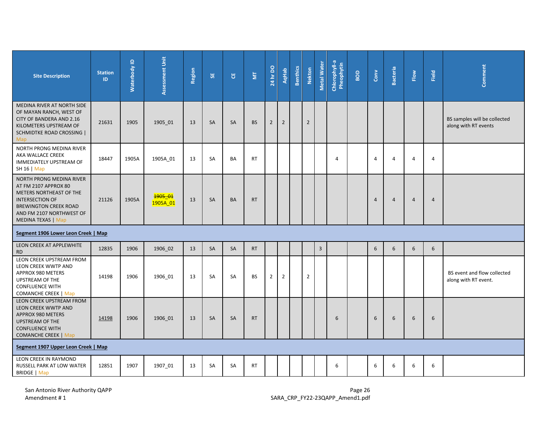| <b>Site Description</b>                                                                                                                                                                        | <b>Station</b><br>ID                | Waterbody ID | Assessment Unit                  | Region | 5Ė        | ិម        | ΣĪ,       | 24 hr DO       | <b>AqHab</b>   | <b>Benthics</b> | <b>Nekton</b>  | Metal Water    | Chlorophyll-a<br>Pheophytin | BOD | $_{\rm Conv}$ | <b>Bacteria</b> | Flow           | Field          | Comment                                              |
|------------------------------------------------------------------------------------------------------------------------------------------------------------------------------------------------|-------------------------------------|--------------|----------------------------------|--------|-----------|-----------|-----------|----------------|----------------|-----------------|----------------|----------------|-----------------------------|-----|---------------|-----------------|----------------|----------------|------------------------------------------------------|
| MEDINA RIVER AT NORTH SIDE<br>OF MAYAN RANCH, WEST OF<br>CITY OF BANDERA AND 2.16<br>KILOMETERS UPSTREAM OF<br><b>SCHMIDTKE ROAD CROSSING</b><br><b>Map</b>                                    | 21631                               | 1905         | 1905_01                          | 13     | <b>SA</b> | <b>SA</b> | <b>BS</b> | $\overline{2}$ | $\overline{2}$ |                 | $\overline{2}$ |                |                             |     |               |                 |                |                | BS samples will be collected<br>along with RT events |
| NORTH PRONG MEDINA RIVER<br>AKA WALLACE CREEK<br>IMMEDIATELY UPSTREAM OF<br>SH 16   Map                                                                                                        | 18447                               | 1905A        | 1905A_01                         | 13     | <b>SA</b> | <b>BA</b> | <b>RT</b> |                |                |                 |                |                | $\overline{4}$              |     | 4             | $\overline{4}$  | $\overline{4}$ | $\overline{4}$ |                                                      |
| NORTH PRONG MEDINA RIVER<br>AT FM 2107 APPROX 80<br>METERS NORTHEAST OF THE<br><b>INTERSECTION OF</b><br><b>BREWINGTON CREEK ROAD</b><br>AND FM 2107 NORTHWEST OF<br><b>MEDINA TEXAS   Map</b> | 21126                               | 1905A        | <mark>1905–01</mark><br>1905A 01 | 13     | <b>SA</b> | BA        | <b>RT</b> |                |                |                 |                |                |                             |     | 4             | $\overline{4}$  | $\overline{4}$ | 4              |                                                      |
|                                                                                                                                                                                                | Segment 1906 Lower Leon Creek   Map |              |                                  |        |           |           |           |                |                |                 |                |                |                             |     |               |                 |                |                |                                                      |
| LEON CREEK AT APPLEWHITE<br><b>RD</b>                                                                                                                                                          | 12835                               | 1906         | 1906_02                          | 13     | SA        | SA        | <b>RT</b> |                |                |                 |                | $\overline{3}$ |                             |     | 6             | 6               | 6              | 6              |                                                      |
| LEON CREEK UPSTREAM FROM<br>LEON CREEK WWTP AND<br>APPROX 980 METERS<br>UPSTREAM OF THE<br><b>CONFLUENCE WITH</b><br><b>COMANCHE CREEK   Map</b>                                               | 14198                               | 1906         | 1906_01                          | 13     | SA        | SA        | <b>BS</b> | $\overline{2}$ | $\overline{2}$ |                 | $\overline{2}$ |                |                             |     |               |                 |                |                | BS event and flow collected<br>along with RT event.  |
| LEON CREEK UPSTREAM FROM<br>LEON CREEK WWTP AND<br>APPROX 980 METERS<br><b>UPSTREAM OF THE</b><br><b>CONFLUENCE WITH</b><br><b>COMANCHE CREEK   Map</b>                                        | 14198                               | 1906         | 1906_01                          | 13     | SA        | SA        | <b>RT</b> |                |                |                 |                |                | 6                           |     | 6             | 6               | 6              | 6              |                                                      |
| Segment 1907 Upper Leon Creek   Map                                                                                                                                                            |                                     |              |                                  |        |           |           |           |                |                |                 |                |                |                             |     |               |                 |                |                |                                                      |
| LEON CREEK IN RAYMOND<br>RUSSELL PARK AT LOW WATER<br><b>BRIDGE</b>   Map                                                                                                                      | 12851                               | 1907         | 1907_01                          | 13     | SA        | <b>SA</b> | RT        |                |                |                 |                |                | 6                           |     | 6             | 6               | 6              | 6              |                                                      |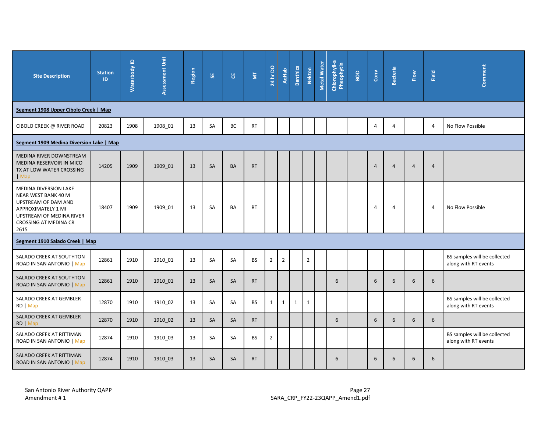| <b>Site Description</b>                                                                                                                                | <b>Station</b><br>ID | $\mathbf{\underline{o}}$<br>Waterbody | Assessment Unit | <b>Region</b> | 55        | ិម        | $\overline{\Xi}$ | 24 hr DO       | <b>AqHab</b>   | <b>Benthics</b> | <b>Nekton</b>  | <b>Metal Water</b> | Chlorophyll-a<br>Pheophytin | BOD | $_{\rm Conv}$  | <b>Bacteria</b> | Flow           | Field          | Comment                                              |
|--------------------------------------------------------------------------------------------------------------------------------------------------------|----------------------|---------------------------------------|-----------------|---------------|-----------|-----------|------------------|----------------|----------------|-----------------|----------------|--------------------|-----------------------------|-----|----------------|-----------------|----------------|----------------|------------------------------------------------------|
| Segment 1908 Upper Cibolo Creek   Map                                                                                                                  |                      |                                       |                 |               |           |           |                  |                |                |                 |                |                    |                             |     |                |                 |                |                |                                                      |
| CIBOLO CREEK @ RIVER ROAD                                                                                                                              | 20823                | 1908                                  | 1908_01         | 13            | SA        | BC        | <b>RT</b>        |                |                |                 |                |                    |                             |     | $\overline{4}$ | 4               |                | 4              | No Flow Possible                                     |
| Segment 1909 Medina Diversion Lake   Map                                                                                                               |                      |                                       |                 |               |           |           |                  |                |                |                 |                |                    |                             |     |                |                 |                |                |                                                      |
| MEDINA RIVER DOWNSTREAM<br>MEDINA RESERVOIR IN MICO<br>TX AT LOW WATER CROSSING<br>$\blacksquare$ Map                                                  | 14205                | 1909                                  | 1909 01         | 13            | <b>SA</b> | <b>BA</b> | <b>RT</b>        |                |                |                 |                |                    |                             |     | $\overline{4}$ | $\overline{4}$  | $\overline{4}$ | $\overline{4}$ |                                                      |
| MEDINA DIVERSION LAKE<br>NEAR WEST BANK 40 M<br>UPSTREAM OF DAM AND<br>APPROXIMATELY 1 MI<br>UPSTREAM OF MEDINA RIVER<br>CROSSING AT MEDINA CR<br>2615 | 18407                | 1909                                  | 1909_01         | 13            | SA        | BA        | <b>RT</b>        |                |                |                 |                |                    |                             |     | $\overline{4}$ | $\overline{4}$  |                | $\overline{4}$ | No Flow Possible                                     |
| Segment 1910 Salado Creek   Map                                                                                                                        |                      |                                       |                 |               |           |           |                  |                |                |                 |                |                    |                             |     |                |                 |                |                |                                                      |
| SALADO CREEK AT SOUTHTON<br>ROAD IN SAN ANTONIO   Map                                                                                                  | 12861                | 1910                                  | 1910_01         | 13            | SA        | SA        | <b>BS</b>        | $\overline{2}$ | $\overline{2}$ |                 | $\overline{2}$ |                    |                             |     |                |                 |                |                | BS samples will be collected<br>along with RT events |
| SALADO CREEK AT SOUTHTON<br>ROAD IN SAN ANTONIO   Map                                                                                                  | 12861                | 1910                                  | 1910_01         | 13            | SA        | SA        | <b>RT</b>        |                |                |                 |                |                    | 6                           |     | 6              | 6               | 6              | 6              |                                                      |
| SALADO CREEK AT GEMBLER<br>RD   Map                                                                                                                    | 12870                | 1910                                  | 1910 02         | 13            | <b>SA</b> | <b>SA</b> | <b>BS</b>        | 1              | $\mathbf{1}$   | $\mathbf{1}$    | $\mathbf{1}$   |                    |                             |     |                |                 |                |                | BS samples will be collected<br>along with RT events |
| SALADO CREEK AT GEMBLER<br>RD   Map                                                                                                                    | 12870                | 1910                                  | 1910_02         | 13            | SA        | SA        | <b>RT</b>        |                |                |                 |                |                    | 6                           |     | 6              | 6               | 6              | 6              |                                                      |
| SALADO CREEK AT RITTIMAN<br>ROAD IN SAN ANTONIO   Map                                                                                                  | 12874                | 1910                                  | 1910 03         | 13            | SA        | SA        | <b>BS</b>        | $\overline{2}$ |                |                 |                |                    |                             |     |                |                 |                |                | BS samples will be collected<br>along with RT events |
| SALADO CREEK AT RITTIMAN<br>ROAD IN SAN ANTONIO   Map                                                                                                  | 12874                | 1910                                  | 1910_03         | 13            | <b>SA</b> | SA        | <b>RT</b>        |                |                |                 |                |                    | 6                           |     | 6              | 6               | 6              | 6              |                                                      |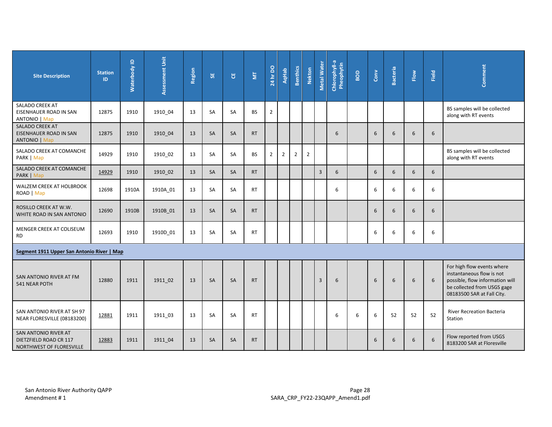| <b>Site Description</b>                                                    | <b>Station</b><br>ID | $\mathbf{\underline{o}}$<br>Waterbody | Assessment Unit | Region | <b>SE</b> | <b>٣</b>  | $\overline{\Xi}$ | 24 hr DO       | <b>AqHab</b>   | <b>Benthics</b> | <b>Nekton</b>  | <b>Metal Water</b> | Chlorophyll-a<br>Pheophytin | BOD | $_{\rm Conv}$ | <b>Bacteria</b> | Flow             | Field | Comment                                                                                                                                                 |
|----------------------------------------------------------------------------|----------------------|---------------------------------------|-----------------|--------|-----------|-----------|------------------|----------------|----------------|-----------------|----------------|--------------------|-----------------------------|-----|---------------|-----------------|------------------|-------|---------------------------------------------------------------------------------------------------------------------------------------------------------|
| SALADO CREEK AT<br>EISENHAUER ROAD IN SAN<br><b>ANTONIO   Map</b>          | 12875                | 1910                                  | 1910 04         | 13     | SA        | SA        | <b>BS</b>        | $\overline{2}$ |                |                 |                |                    |                             |     |               |                 |                  |       | BS samples will be collected<br>along with RT events                                                                                                    |
| SALADO CREEK AT<br>EISENHAUER ROAD IN SAN<br><b>ANTONIO   Map</b>          | 12875                | 1910                                  | 1910 04         | 13     | <b>SA</b> | <b>SA</b> | <b>RT</b>        |                |                |                 |                |                    | 6                           |     | 6             | 6               | 6                | 6     |                                                                                                                                                         |
| SALADO CREEK AT COMANCHE<br>PARK   Map                                     | 14929                | 1910                                  | 1910_02         | 13     | SA        | SA        | <b>BS</b>        | $\overline{2}$ | $\overline{2}$ | $\overline{2}$  | $\overline{2}$ |                    |                             |     |               |                 |                  |       | BS samples will be collected<br>along with RT events                                                                                                    |
| SALADO CREEK AT COMANCHE<br>PARK   Map                                     | 14929                | 1910                                  | 1910_02         | 13     | SA        | SA        | <b>RT</b>        |                |                |                 |                | 3                  | 6                           |     | 6             | 6               | 6                | 6     |                                                                                                                                                         |
| WALZEM CREEK AT HOLBROOK<br>ROAD   Map                                     | 12698                | 1910A                                 | 1910A_01        | 13     | SA        | SA        | <b>RT</b>        |                |                |                 |                |                    | 6                           |     | 6             | 6               | 6                | 6     |                                                                                                                                                         |
| ROSILLO CREEK AT W.W.<br>WHITE ROAD IN SAN ANTONIO                         | 12690                | 1910B                                 | 1910B 01        | 13     | <b>SA</b> | <b>SA</b> | <b>RT</b>        |                |                |                 |                |                    |                             |     | 6             | 6               | 6                | 6     |                                                                                                                                                         |
| MENGER CREEK AT COLISEUM<br><b>RD</b>                                      | 12693                | 1910                                  | 1910D_01        | 13     | SA        | SA        | <b>RT</b>        |                |                |                 |                |                    |                             |     | 6             | 6               | 6                | 6     |                                                                                                                                                         |
| Segment 1911 Upper San Antonio River   Map                                 |                      |                                       |                 |        |           |           |                  |                |                |                 |                |                    |                             |     |               |                 |                  |       |                                                                                                                                                         |
| SAN ANTONIO RIVER AT FM<br>541 NEAR POTH                                   | 12880                | 1911                                  | 1911_02         | 13     | SA        | SA        | <b>RT</b>        |                |                |                 |                | $\mathsf{3}$       | 6                           |     | 6             | 6               | $\boldsymbol{6}$ | 6     | For high flow events where<br>instantaneous flow is not<br>possible, flow information will<br>be collected from USGS gage<br>08183500 SAR at Fall City. |
| SAN ANTONIO RIVER AT SH 97<br>NEAR FLORESVILLE (08183200)                  | 12881                | 1911                                  | 1911 03         | 13     | SA        | SA        | <b>RT</b>        |                |                |                 |                |                    | 6                           | 6   | 6             | 52              | 52               | 52    | <b>River Recreation Bacteria</b><br>Station                                                                                                             |
| SAN ANTONIO RIVER AT<br>DIETZFIELD ROAD CR 117<br>NORTHWEST OF FLORESVILLE | 12883                | 1911                                  | 1911_04         | 13     | <b>SA</b> | SA        | <b>RT</b>        |                |                |                 |                |                    |                             |     | 6             | 6               | 6                | 6     | Flow reported from USGS<br>8183200 SAR at Floresville                                                                                                   |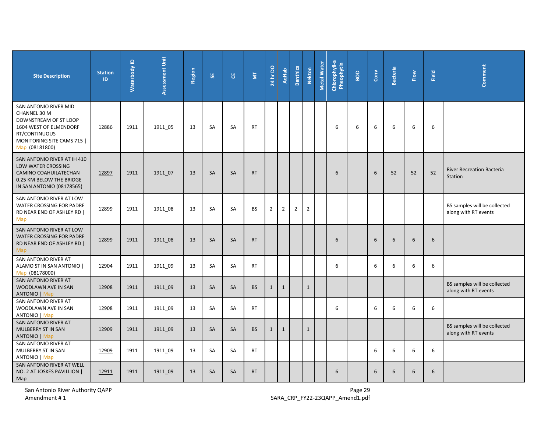| <b>Site Description</b>                                                                                                                                        | <b>Station</b><br>ID | Waterbody ID | Assessment Unit | Region | 55        | ិម        | $\overline{\Xi}$ | $\mathsf S$<br>24 hr | <b>AqHab</b>   | <b>Benthics</b> | <b>Nekton</b>  | Metal Water | Chlorophyll-a<br>Pheophytin | BOD | $_{\rm Conv}$ | Bacteria | Flow | Field | Comment                                              |
|----------------------------------------------------------------------------------------------------------------------------------------------------------------|----------------------|--------------|-----------------|--------|-----------|-----------|------------------|----------------------|----------------|-----------------|----------------|-------------|-----------------------------|-----|---------------|----------|------|-------|------------------------------------------------------|
| SAN ANTONIO RIVER MID<br><b>CHANNEL 30 M</b><br>DOWNSTREAM OF ST LOOP<br>1604 WEST OF ELMENDORF<br>RT/CONTINUOUS<br>MONITORING SITE CAMS 715<br>Map (08181800) | 12886                | 1911         | 1911_05         | 13     | <b>SA</b> | SA        | <b>RT</b>        |                      |                |                 |                |             | 6                           | 6   | 6             | 6        | 6    | 6     |                                                      |
| SAN ANTONIO RIVER AT IH 410<br>LOW WATER CROSSING<br>CAMINO COAHUILATECHAN<br>0.25 KM BELOW THE BRIDGE<br>IN SAN ANTONIO (08178565)                            | 12897                | 1911         | 1911 07         | 13     | SA        | <b>SA</b> | <b>RT</b>        |                      |                |                 |                |             | 6                           |     | 6             | 52       | 52   | 52    | <b>River Recreation Bacteria</b><br>Station          |
| SAN ANTONIO RIVER AT LOW<br>WATER CROSSING FOR PADRE<br>RD NEAR END OF ASHLEY RD  <br>Map                                                                      | 12899                | 1911         | 1911_08         | 13     | SA        | SA        | <b>BS</b>        | $\overline{2}$       | $\overline{2}$ | $\overline{2}$  | $\overline{2}$ |             |                             |     |               |          |      |       | BS samples will be collected<br>along with RT events |
| SAN ANTONIO RIVER AT LOW<br><b>WATER CROSSING FOR PADRE</b><br>RD NEAR END OF ASHLEY RD  <br>Map                                                               | 12899                | 1911         | 1911 08         | 13     | <b>SA</b> | <b>SA</b> | <b>RT</b>        |                      |                |                 |                |             | 6                           |     | 6             | 6        | 6    | 6     |                                                      |
| SAN ANTONIO RIVER AT<br>ALAMO ST IN SAN ANTONIO  <br>Map (08178000)                                                                                            | 12904                | 1911         | 1911_09         | 13     | SA        | SA        | <b>RT</b>        |                      |                |                 |                |             | 6                           |     | 6             | 6        | 6    | 6     |                                                      |
| SAN ANTONIO RIVER AT<br>WOODLAWN AVE IN SAN<br><b>ANTONIO</b>   Map                                                                                            | 12908                | 1911         | 1911_09         | 13     | SA        | SA        | <b>BS</b>        | $\mathbf{1}$         | $\mathbf{1}$   |                 | $\mathbf{1}$   |             |                             |     |               |          |      |       | BS samples will be collected<br>along with RT events |
| SAN ANTONIO RIVER AT<br>WOODLAWN AVE IN SAN<br><b>ANTONIO</b>   Map                                                                                            | 12908                | 1911         | 1911_09         | 13     | SA        | SA        | <b>RT</b>        |                      |                |                 |                |             | 6                           |     | 6             | 6        | 6    | 6     |                                                      |
| SAN ANTONIO RIVER AT<br>MULBERRY ST IN SAN<br><b>ANTONIO</b>   Map                                                                                             | 12909                | 1911         | 1911 09         | 13     | <b>SA</b> | SA        | <b>BS</b>        | $\mathbf{1}$         | $\mathbf{1}$   |                 | $\mathbf{1}$   |             |                             |     |               |          |      |       | BS samples will be collected<br>along with RT events |
| SAN ANTONIO RIVER AT<br>MULBERRY ST IN SAN<br><b>ANTONIO</b>   Map                                                                                             | 12909                | 1911         | 1911_09         | 13     | SA        | <b>SA</b> | <b>RT</b>        |                      |                |                 |                |             |                             |     | 6             | 6        | 6    | 6     |                                                      |
| SAN ANTONIO RIVER AT WELL<br>NO. 2 AT JOSKES PAVILLION  <br>Map                                                                                                | 12911                | 1911         | 1911 09         | 13     | SA        | SA        | <b>RT</b>        |                      |                |                 |                |             | 6                           |     | 6             | 6        | 6    | $6\,$ |                                                      |

San Antonio River Authority QAPP<br>Amendment # 1 **Page 29**<br>Amendment # 1 **Page 29** SARA\_CRP\_FY22-23QAPP\_Amend1.pdf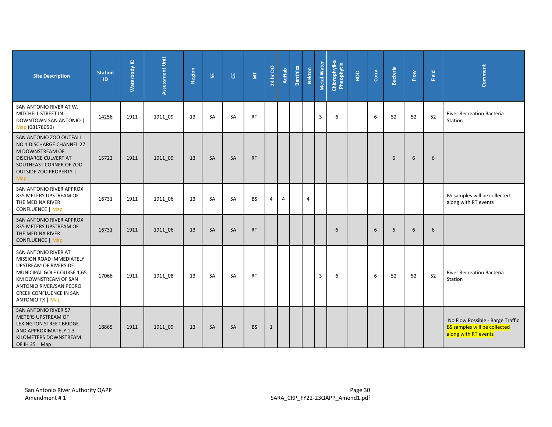| <b>Site Description</b>                                                                                                                                                                                                        | <b>Station</b><br>ID. | $\mathbf{\underline{o}}$<br>Waterbody | <b>Assessment Unit</b> | Region | 55        | უ         | $\overline{\Xi}$ | 24 hr DO       | <b>AqHab</b>   | <b>Benthics</b> | <b>Nekton</b> | Metal Water    | Chlorophyll-a<br>Pheophytin | BOD | Conv | <b>Bacteria</b> | Flow | Field | Comment                                                                                         |
|--------------------------------------------------------------------------------------------------------------------------------------------------------------------------------------------------------------------------------|-----------------------|---------------------------------------|------------------------|--------|-----------|-----------|------------------|----------------|----------------|-----------------|---------------|----------------|-----------------------------|-----|------|-----------------|------|-------|-------------------------------------------------------------------------------------------------|
| SAN ANTONIO RIVER AT W.<br>MITCHELL STREET IN<br><b>DOWNTOWN SAN ANTONIO  </b><br>Map (08178050)                                                                                                                               | 14256                 | 1911                                  | 1911 09                | 13     | <b>SA</b> | SA        | <b>RT</b>        |                |                |                 |               | $\overline{3}$ | 6                           |     | 6    | 52              | 52   | 52    | <b>River Recreation Bacteria</b><br>Station                                                     |
| SAN ANTONIO ZOO OUTFALL<br>NO 1 DISCHARGE CHANNEL 27<br>M DOWNSTREAM OF<br><b>DISCHARGE CULVERT AT</b><br>SOUTHEAST CORNER OF ZOO<br><b>OUTSIDE ZOO PROPERTY  </b><br>Map                                                      | 15722                 | 1911                                  | 1911 09                | 13     | <b>SA</b> | <b>SA</b> | <b>RT</b>        |                |                |                 |               |                |                             |     |      | 6               | 6    | 6     |                                                                                                 |
| SAN ANTONIO RIVER APPROX<br>835 METERS UPSTREAM OF<br>THE MEDINA RIVER<br>CONFLUENCE   Map                                                                                                                                     | 16731                 | 1911                                  | 1911 06                | 13     | SA        | <b>SA</b> | <b>BS</b>        | $\overline{4}$ | $\overline{4}$ |                 | 4             |                |                             |     |      |                 |      |       | BS samples will be collected<br>along with RT events                                            |
| SAN ANTONIO RIVER APPROX<br>835 METERS UPSTREAM OF<br>THE MEDINA RIVER<br><b>CONFLUENCE   Map</b>                                                                                                                              | 16731                 | 1911                                  | 1911_06                | 13     | <b>SA</b> | SA        | <b>RT</b>        |                |                |                 |               |                | 6                           |     | 6    | 6               | 6    | 6     |                                                                                                 |
| SAN ANTONIO RIVER AT<br>MISSION ROAD IMMEDIATELY<br><b>UPSTREAM OF RIVERSIDE</b><br>MUNICIPAL GOLF COURSE 1.65<br>KM DOWNSTREAM OF SAN<br>ANTONIO RIVER/SAN PEDRO<br><b>CREEK CONFLUENCE IN SAN</b><br><b>ANTONIO TX   Map</b> | 17066                 | 1911                                  | 1911 08                | 13     | <b>SA</b> | SA        | <b>RT</b>        |                |                |                 |               | $\overline{3}$ | 6                           |     | 6    | 52              | 52   | 52    | <b>River Recreation Bacteria</b><br>Station                                                     |
| <b>SAN ANTONIO RIVER 57</b><br>METERS UPSTREAM OF<br><b>LEXINGTON STREET BRIDGE</b><br>AND APPROXIMATELY 1.3<br>KILOMETERS DOWNSTREAM<br>OF IH 35   Map                                                                        | 18865                 | 1911                                  | 1911 09                | 13     | <b>SA</b> | <b>SA</b> | <b>BS</b>        | $\mathbf{1}$   |                |                 |               |                |                             |     |      |                 |      |       | No Flow Possible - Barge Traffic<br><b>BS samples will be collected</b><br>along with RT events |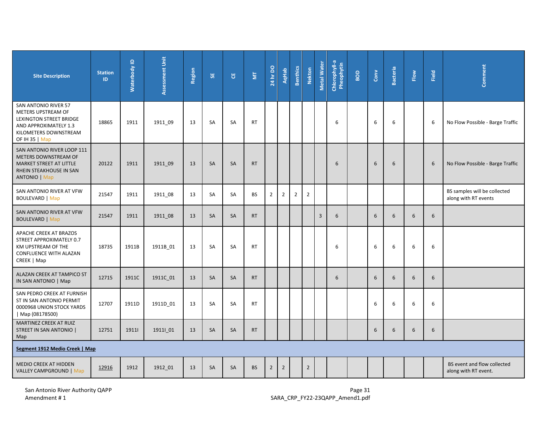| <b>Site Description</b>                                                                                                                          | <b>Station</b><br>ID | Waterbody ID | Assessment Unit     | Region | 55        | ម         | $\overline{\Xi}$ | <b>24 hr DO</b> | <b>AqHab</b>   | <b>Benthics</b> | <b>Nekton</b>  | <b>Metal Water</b> | Chlorophyll-a<br>Pheophytin | BOD | $_{\rm Conv}$ | <b>Bacteria</b> | Flow           | Field            | Comment                                              |
|--------------------------------------------------------------------------------------------------------------------------------------------------|----------------------|--------------|---------------------|--------|-----------|-----------|------------------|-----------------|----------------|-----------------|----------------|--------------------|-----------------------------|-----|---------------|-----------------|----------------|------------------|------------------------------------------------------|
| SAN ANTONIO RIVER 57<br>METERS UPSTREAM OF<br><b>LEXINGTON STREET BRIDGE</b><br>AND APPROXIMATELY 1.3<br>KILOMETERS DOWNSTREAM<br>OF IH 35   Map | 18865                | 1911         | 1911 09             | 13     | <b>SA</b> | SA        | <b>RT</b>        |                 |                |                 |                |                    | 6                           |     | 6             | 6               |                | 6                | No Flow Possible - Barge Traffic                     |
| SAN ANTONIO RIVER LOOP 111<br>METERS DOWNSTREAM OF<br>MARKET STREET AT LITTLE<br>RHEIN STEAKHOUSE IN SAN<br><b>ANTONIO</b>   Map                 | 20122                | 1911         | 1911_09             | 13     | SA        | SA        | <b>RT</b>        |                 |                |                 |                |                    | 6                           |     | 6             | 6               |                | $\boldsymbol{6}$ | No Flow Possible - Barge Traffic                     |
| SAN ANTONIO RIVER AT VFW<br><b>BOULEVARD</b>   Map                                                                                               | 21547                | 1911         | 1911_08             | 13     | SA        | SA        | <b>BS</b>        | $\overline{2}$  | $\overline{2}$ | $\overline{2}$  | $\overline{2}$ |                    |                             |     |               |                 |                |                  | BS samples will be collected<br>along with RT events |
| SAN ANTONIO RIVER AT VFW<br><b>BOULEVARD   Map</b>                                                                                               | 21547                | 1911         | 1911 08             | 13     | SA        | SA        | <b>RT</b>        |                 |                |                 |                | $\overline{3}$     | 6                           |     | 6             | 6               | $6\phantom{1}$ | 6                |                                                      |
| APACHE CREEK AT BRAZOS<br>STREET APPROXIMATELY 0.7<br>KM UPSTREAM OF THE<br>CONFLUENCE WITH ALAZAN<br>CREEK   Map                                | 18735                | 1911B        | 1911B 01            | 13     | SA        | SA        | <b>RT</b>        |                 |                |                 |                |                    | 6                           |     | 6             | 6               | 6              | 6                |                                                      |
| ALAZAN CREEK AT TAMPICO ST<br>IN SAN ANTONIO   Map                                                                                               | 12715                | 1911C        | 1911C_01            | 13     | SA        | SA        | <b>RT</b>        |                 |                |                 |                |                    | 6                           |     | 6             | 6               | $6\phantom{1}$ | 6                |                                                      |
| SAN PEDRO CREEK AT FURNISH<br>ST IN SAN ANTONIO PERMIT<br>0000968 UNION STOCK YARDS<br>Map (08178500)                                            | 12707                | 1911D        | 1911D <sub>01</sub> | 13     | SA        | SA        | <b>RT</b>        |                 |                |                 |                |                    |                             |     | 6             | 6               | 6              | 6                |                                                      |
| <b>MARTINEZ CREEK AT RUIZ</b><br>STREET IN SAN ANTONIO  <br>Map                                                                                  | 12751                | 19111        | 19111_01            | 13     | SA        | SA        | <b>RT</b>        |                 |                |                 |                |                    |                             |     | 6             | 6               | 6              | 6                |                                                      |
| Segment 1912 Medio Creek   Map                                                                                                                   |                      |              |                     |        |           |           |                  |                 |                |                 |                |                    |                             |     |               |                 |                |                  |                                                      |
| MEDIO CREEK AT HIDDEN<br><b>VALLEY CAMPGROUND   Map</b>                                                                                          | 12916                | 1912         | 1912_01             | 13     | <b>SA</b> | <b>SA</b> | <b>BS</b>        | $\overline{2}$  | $\overline{2}$ |                 | $\overline{2}$ |                    |                             |     |               |                 |                |                  | BS event and flow collected<br>along with RT event.  |